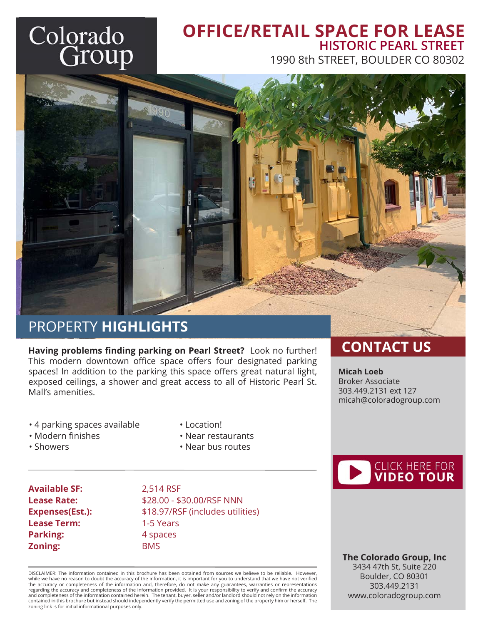# Colorado<br>Group

#### **OFFICE/RETAIL SPACE FOR LEASE** 1990 8th STREET, BOULDER CO 80302 **HISTORIC PEARL STREET**



## PROPERTY **HIGHLIGHTS**

**Having problems finding parking on Pearl Street?** Look no further! This modern downtown office space offers four designated parking spaces! In addition to the parking this space offers great natural light, exposed ceilings, a shower and great access to all of Historic Pearl St. Mall's amenities.

- 4 parking spaces available
- Modern finishes

• Showers

- Location!
- Near restaurants
- Near bus routes

**Available SF:** 2,514 RSF **Lease Term:** 1-5 Years **Parking:** 4 spaces **Zoning:** BMS

**Lease Rate:**  $$28.00 - $30.00/RSF NNN$ **Expenses(Est.):** \$18.97/RSF (includes utilities)

DISCLAIMER: The information contained in this brochure has been obtained from sources we believe to be reliable. However, while we have no reason to doubt the accuracy of the information, it is important for you to understand that we have not verified<br>the accuracy or completeness of the information and, therefore, do not make any guarantees, regarding the accuracy and completeness of the information provided. It is your responsibility to verify and confirm the accuracy and completeness of the information contained herein. The tenant, buyer, seller and/or landlord should not rely on the information contained in this brochure but instead should independently verify the permitted use and zoning of the property him or herself. The zoning link is for initial informational purposes only.

## **CONTACT US**

**Micah Loeb** Broker Associate 303.449.2131 ext 127 micah@coloradogroup.com



 **The Colorado Group, Inc** 3434 47th St, Suite 220 Boulder, CO 80301 303.449.2131 www.coloradogroup.com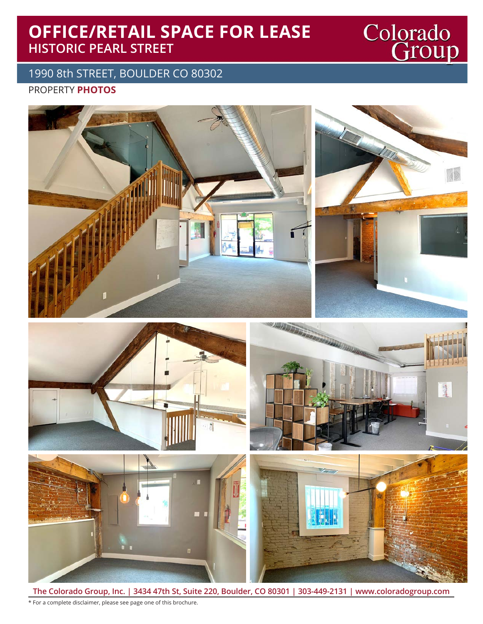## **OFFICE/RETAIL SPACE FOR LEASE HISTORIC PEARL STREET**

PROPERTY **PHOTOS** 1990 8th STREET, BOULDER CO 80302



Colorado<br>Group

**The Colorado Group, Inc. | 3434 47th St, Suite 220, Boulder, CO 80301 | 303-449-2131 | www.coloradogroup.com** \* For a complete disclaimer, please see page one of this brochure.